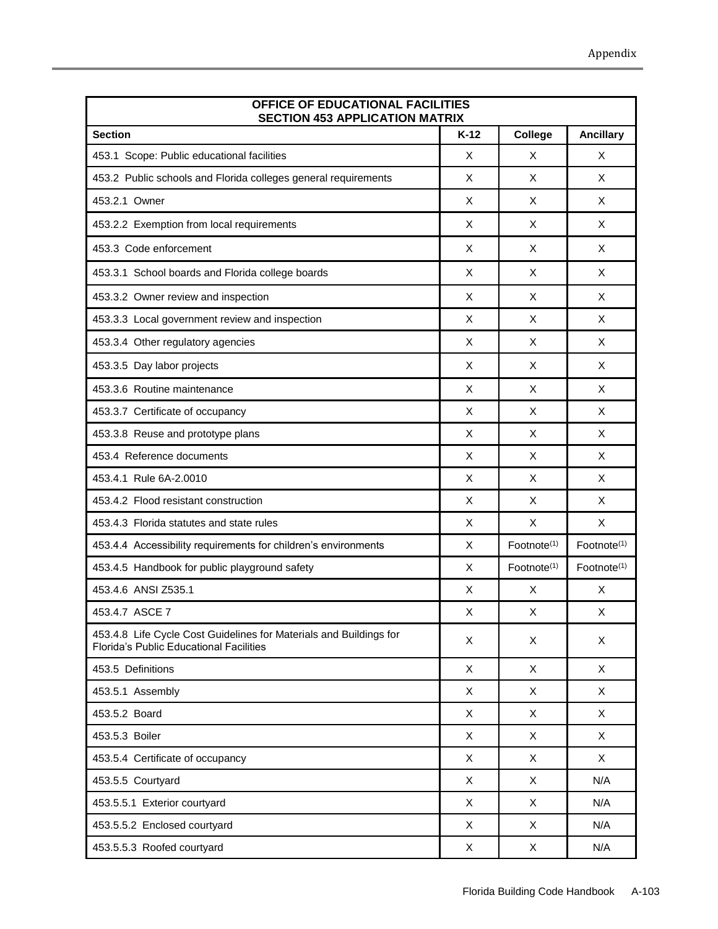| OFFICE OF EDUCATIONAL FACILITIES<br><b>SECTION 453 APPLICATION MATRIX</b>                                            |        |                         |                         |
|----------------------------------------------------------------------------------------------------------------------|--------|-------------------------|-------------------------|
| <b>Section</b>                                                                                                       | $K-12$ | College                 | <b>Ancillary</b>        |
| 453.1 Scope: Public educational facilities                                                                           | X      | X                       | X                       |
| 453.2 Public schools and Florida colleges general requirements                                                       | X      | X                       | X                       |
| 453.2.1 Owner                                                                                                        | X      | X                       | X                       |
| 453.2.2 Exemption from local requirements                                                                            | X      | X                       | X                       |
| 453.3 Code enforcement                                                                                               | X      | X                       | X                       |
| 453.3.1 School boards and Florida college boards                                                                     | X      | X                       | X                       |
| 453.3.2 Owner review and inspection                                                                                  | X      | X                       | X                       |
| 453.3.3 Local government review and inspection                                                                       | X      | X                       | X                       |
| 453.3.4 Other regulatory agencies                                                                                    | X      | X                       | X                       |
| 453.3.5 Day labor projects                                                                                           | Χ      | X                       | X                       |
| 453.3.6 Routine maintenance                                                                                          | X      | X                       | X                       |
| 453.3.7 Certificate of occupancy                                                                                     | X      | X                       | X                       |
| 453.3.8 Reuse and prototype plans                                                                                    | X      | X                       | X                       |
| 453.4 Reference documents                                                                                            | X      | X                       | X                       |
| 453.4.1 Rule 6A-2.0010                                                                                               | X      | X                       | X                       |
| 453.4.2 Flood resistant construction                                                                                 | X      | X                       | X                       |
| 453.4.3 Florida statutes and state rules                                                                             | X      | X                       | X                       |
| 453.4.4 Accessibility requirements for children's environments                                                       | X      | Footnote <sup>(1)</sup> | Footnote <sup>(1)</sup> |
| 453.4.5 Handbook for public playground safety                                                                        | X      | Footnote <sup>(1)</sup> | Footnote <sup>(1)</sup> |
| 453.4.6 ANSI Z535.1                                                                                                  | Χ      | X                       | X                       |
| 453.4.7 ASCE 7                                                                                                       | X      | X                       | X                       |
| 453.4.8 Life Cycle Cost Guidelines for Materials and Buildings for<br><b>Florida's Public Educational Facilities</b> | X      | X                       | X                       |
| 453.5 Definitions                                                                                                    | X      | X                       | X                       |
| 453.5.1 Assembly                                                                                                     | X      | X                       | X                       |
| 453.5.2 Board                                                                                                        | X      | X                       | X                       |
| 453.5.3 Boiler                                                                                                       | X      | X                       | X                       |
| 453.5.4 Certificate of occupancy                                                                                     | X      | X                       | X                       |
| 453.5.5 Courtyard                                                                                                    | X      | X                       | N/A                     |
| 453.5.5.1 Exterior courtyard                                                                                         | X      | X                       | N/A                     |
| 453.5.5.2 Enclosed courtyard                                                                                         | X      | X                       | N/A                     |
| 453.5.5.3 Roofed courtyard                                                                                           | X      | X                       | N/A                     |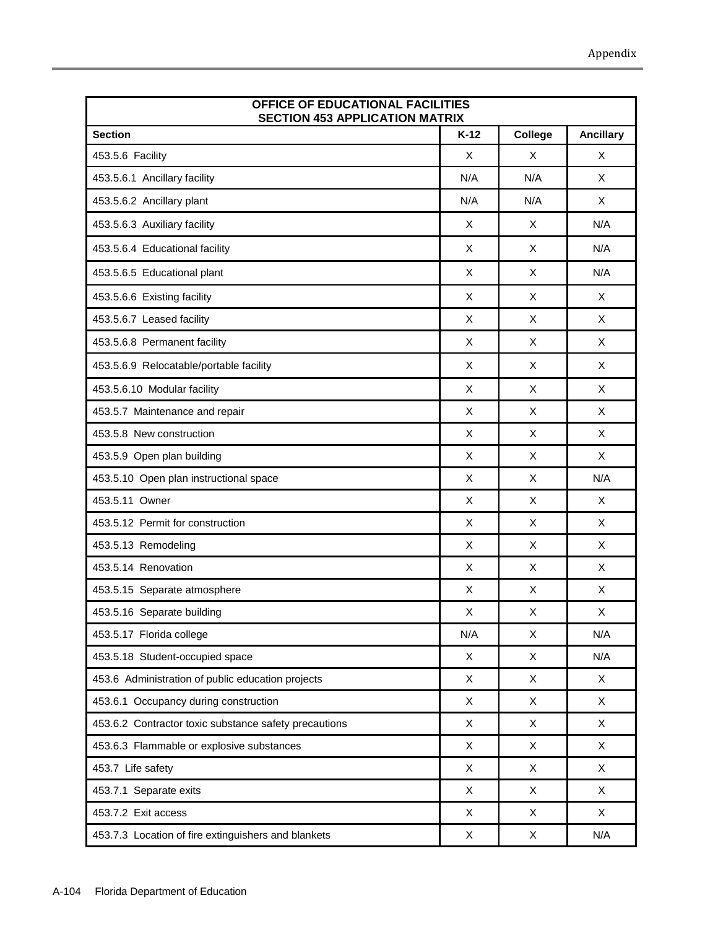| OFFICE OF EDUCATIONAL FACILITIES<br><b>SECTION 453 APPLICATION MATRIX</b> |        |         |                  |
|---------------------------------------------------------------------------|--------|---------|------------------|
| <b>Section</b>                                                            | $K-12$ | College | <b>Ancillary</b> |
| 453.5.6 Facility                                                          | X      | X       | X                |
| 453.5.6.1 Ancillary facility                                              | N/A    | N/A     | X                |
| 453.5.6.2 Ancillary plant                                                 | N/A    | N/A     | X                |
| 453.5.6.3 Auxiliary facility                                              | X      | X       | N/A              |
| 453.5.6.4 Educational facility                                            | X      | X       | N/A              |
| 453.5.6.5 Educational plant                                               | X      | X       | N/A              |
| 453.5.6.6 Existing facility                                               | X      | X       | X                |
| 453.5.6.7 Leased facility                                                 | X      | X       | X                |
| 453.5.6.8 Permanent facility                                              | X      | X       | X                |
| 453.5.6.9 Relocatable/portable facility                                   | X      | X       | X                |
| 453.5.6.10 Modular facility                                               | X      | X       | X                |
| 453.5.7 Maintenance and repair                                            | X      | X       | X                |
| 453.5.8 New construction                                                  | X      | X       | X                |
| 453.5.9 Open plan building                                                | X      | X       | X                |
| 453.5.10 Open plan instructional space                                    | X      | X       | N/A              |
| 453.5.11 Owner                                                            | X      | X       | X                |
| 453.5.12 Permit for construction                                          | X      | X       | X                |
| 453.5.13 Remodeling                                                       | X      | X       | X                |
| 453.5.14 Renovation                                                       | X      | X       | X                |
| 453.5.15 Separate atmosphere                                              | X      | X       | X                |
| 453.5.16 Separate building                                                | X      | X       | X                |
| 453.5.17 Florida college                                                  | N/A    | X       | N/A              |
| 453.5.18 Student-occupied space                                           | X      | X       | N/A              |
| 453.6 Administration of public education projects                         | X      | X       | X                |
| 453.6.1 Occupancy during construction                                     | X      | X       | X                |
| 453.6.2 Contractor toxic substance safety precautions                     | X      | X       | X                |
| 453.6.3 Flammable or explosive substances                                 | X      | X       | X                |
| 453.7 Life safety                                                         | X      | X       | X                |
| 453.7.1 Separate exits                                                    | X      | X       | X                |
| 453.7.2 Exit access                                                       | X      | X       | X                |
| 453.7.3 Location of fire extinguishers and blankets                       | X      | X       | N/A              |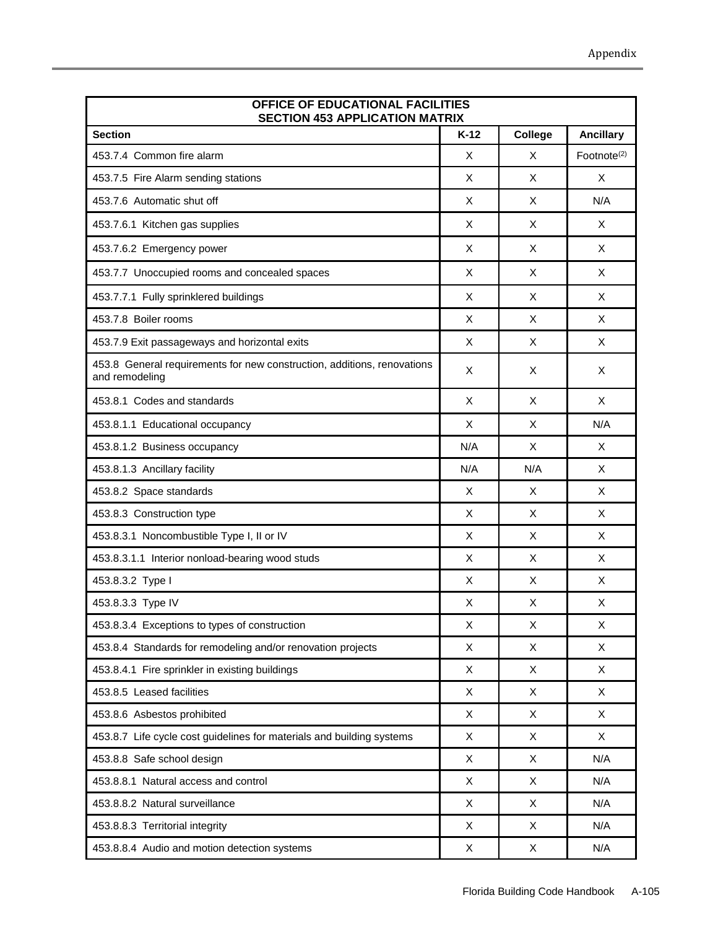| OFFICE OF EDUCATIONAL FACILITIES<br><b>SECTION 453 APPLICATION MATRIX</b>                 |             |             |                         |
|-------------------------------------------------------------------------------------------|-------------|-------------|-------------------------|
| <b>Section</b>                                                                            | $K-12$      | College     | <b>Ancillary</b>        |
| 453.7.4 Common fire alarm                                                                 | X           | X           | Footnote <sup>(2)</sup> |
| 453.7.5 Fire Alarm sending stations                                                       | X           | X           | X                       |
| 453.7.6 Automatic shut off                                                                | X           | X           | N/A                     |
| 453.7.6.1 Kitchen gas supplies                                                            | X           | X           | X                       |
| 453.7.6.2 Emergency power                                                                 | X           | X           | X                       |
| 453.7.7 Unoccupied rooms and concealed spaces                                             | X           | X           | X                       |
| 453.7.7.1 Fully sprinklered buildings                                                     | X           | X           | X                       |
| 453.7.8 Boiler rooms                                                                      | X           | X           | X                       |
| 453.7.9 Exit passageways and horizontal exits                                             | X           | X           | X                       |
| 453.8 General requirements for new construction, additions, renovations<br>and remodeling | X           | X           | X                       |
| 453.8.1 Codes and standards                                                               | X           | X           | X                       |
| 453.8.1.1 Educational occupancy                                                           | X           | X           | N/A                     |
| 453.8.1.2 Business occupancy                                                              | N/A         | X           | X                       |
| 453.8.1.3 Ancillary facility                                                              | N/A         | N/A         | X                       |
| 453.8.2 Space standards                                                                   | X           | X           | X                       |
| 453.8.3 Construction type                                                                 | X           | X           | X                       |
| 453.8.3.1 Noncombustible Type I, II or IV                                                 | X           | X           | X                       |
| 453.8.3.1.1 Interior nonload-bearing wood studs                                           | X           | X           | X                       |
| 453.8.3.2 Type I                                                                          | X           | X           | X                       |
| 453.8.3.3 Type IV                                                                         | X           | X           | X                       |
| 453.8.3.4 Exceptions to types of construction                                             | $\mathsf X$ | $\mathsf X$ | X                       |
| 453.8.4 Standards for remodeling and/or renovation projects                               | X           | X           | X                       |
| 453.8.4.1 Fire sprinkler in existing buildings                                            | X           | X           | X                       |
| 453.8.5 Leased facilities                                                                 | X           | X           | X                       |
| 453.8.6 Asbestos prohibited                                                               | X           | X           | X                       |
| 453.8.7 Life cycle cost guidelines for materials and building systems                     | X           | X           | X                       |
| 453.8.8 Safe school design                                                                | X           | X           | N/A                     |
| 453.8.8.1 Natural access and control                                                      | X           | X           | N/A                     |
| 453.8.8.2 Natural surveillance                                                            | X           | X           | N/A                     |
| 453.8.8.3 Territorial integrity                                                           | X           | Χ           | N/A                     |
| 453.8.8.4 Audio and motion detection systems                                              | X           | X           | N/A                     |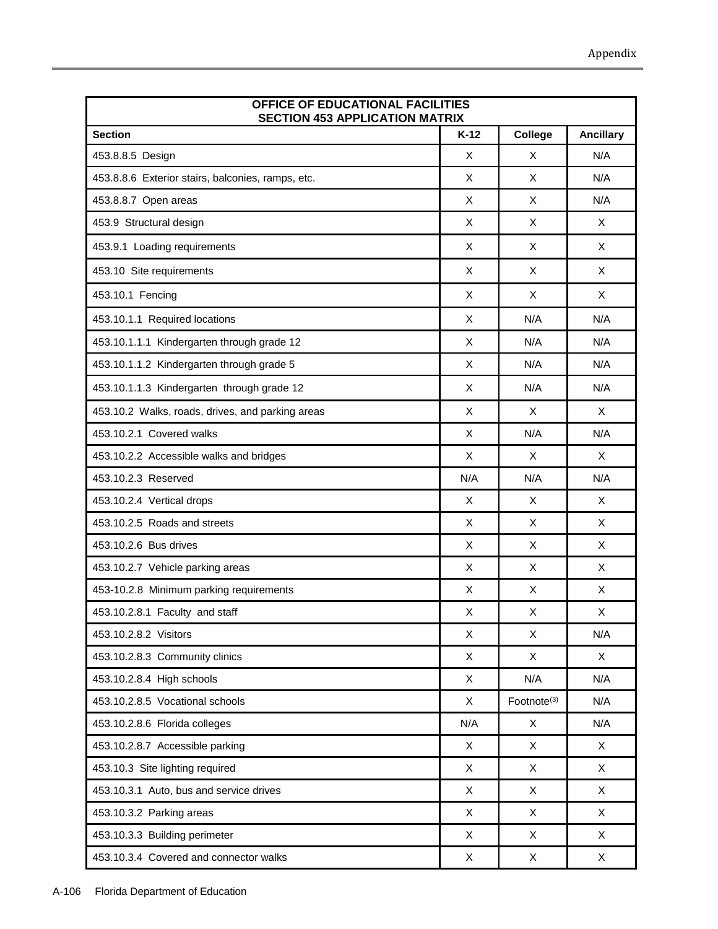| OFFICE OF EDUCATIONAL FACILITIES<br><b>SECTION 453 APPLICATION MATRIX</b> |        |                         |                  |
|---------------------------------------------------------------------------|--------|-------------------------|------------------|
| <b>Section</b>                                                            | $K-12$ | College                 | <b>Ancillary</b> |
| 453.8.8.5 Design                                                          | X      | X                       | N/A              |
| 453.8.8.6 Exterior stairs, balconies, ramps, etc.                         | X      | X                       | N/A              |
| 453.8.8.7 Open areas                                                      | X      | X                       | N/A              |
| 453.9 Structural design                                                   | X      | X                       | X                |
| 453.9.1 Loading requirements                                              | X      | X                       | X                |
| 453.10 Site requirements                                                  | X      | X                       | X                |
| 453.10.1 Fencing                                                          | X      | X                       | X                |
| 453.10.1.1 Required locations                                             | X      | N/A                     | N/A              |
| 453.10.1.1.1 Kindergarten through grade 12                                | X      | N/A                     | N/A              |
| 453.10.1.1.2 Kindergarten through grade 5                                 | X      | N/A                     | N/A              |
| 453.10.1.1.3 Kindergarten through grade 12                                | X      | N/A                     | N/A              |
| 453.10.2 Walks, roads, drives, and parking areas                          | X      | X                       | X                |
| 453.10.2.1 Covered walks                                                  | X      | N/A                     | N/A              |
| 453.10.2.2 Accessible walks and bridges                                   | X      | X                       | X                |
| 453.10.2.3 Reserved                                                       | N/A    | N/A                     | N/A              |
| 453.10.2.4 Vertical drops                                                 | X      | X                       | X                |
| 453.10.2.5 Roads and streets                                              | X      | X                       | X                |
| 453.10.2.6 Bus drives                                                     | X      | X                       | X                |
| 453.10.2.7 Vehicle parking areas                                          | X      | X                       | X                |
| 453-10.2.8 Minimum parking requirements                                   | Χ      | X                       | Χ                |
| 453.10.2.8.1 Faculty and staff                                            | X      | X                       | X                |
| 453.10.2.8.2 Visitors                                                     | X      | X                       | N/A              |
| 453.10.2.8.3 Community clinics                                            | X      | X                       | X                |
| 453.10.2.8.4 High schools                                                 | X      | N/A                     | N/A              |
| 453.10.2.8.5 Vocational schools                                           | X      | Footnote <sup>(3)</sup> | N/A              |
| 453.10.2.8.6 Florida colleges                                             | N/A    | X                       | N/A              |
| 453.10.2.8.7 Accessible parking                                           | X      | X                       | X                |
| 453.10.3 Site lighting required                                           | X      | X                       | X                |
| 453.10.3.1 Auto, bus and service drives                                   | X      | X                       | X                |
| 453.10.3.2 Parking areas                                                  | X      | X                       | X                |
| 453.10.3.3 Building perimeter                                             | X      | X                       | X                |

453.10.3.4 Covered and connector walks  $\begin{array}{ccc} \n & \times \n & \times \n\end{array}$  X  $\begin{array}{ccc} \n & \times \n\end{array}$  X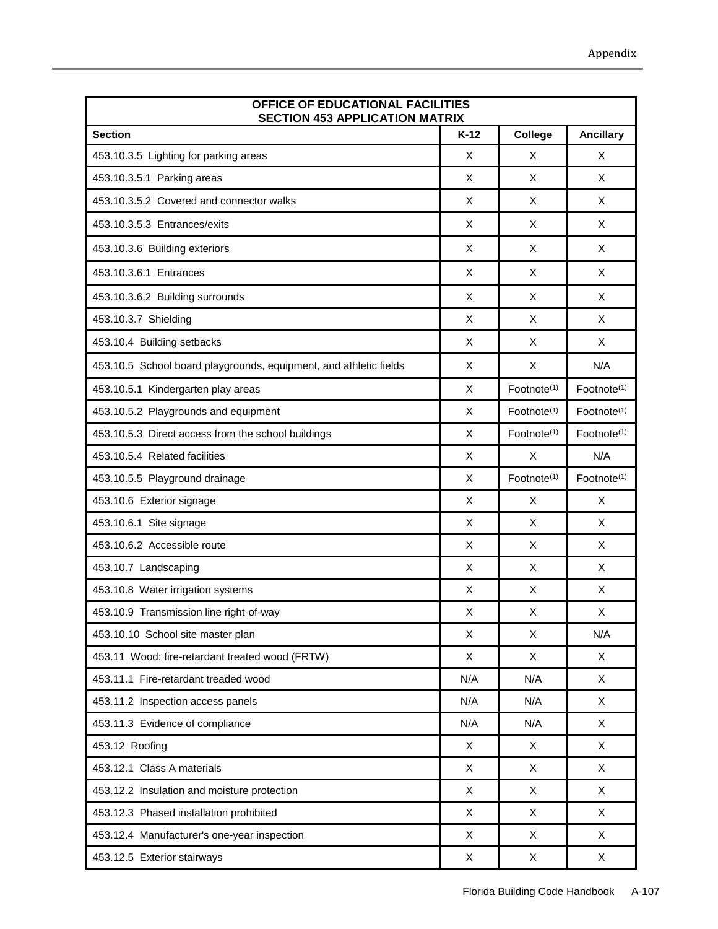| OFFICE OF EDUCATIONAL FACILITIES<br><b>SECTION 453 APPLICATION MATRIX</b> |        |                         |                         |
|---------------------------------------------------------------------------|--------|-------------------------|-------------------------|
| <b>Section</b>                                                            | $K-12$ | College                 | <b>Ancillary</b>        |
| 453.10.3.5 Lighting for parking areas                                     | X      | X                       | X                       |
| 453.10.3.5.1 Parking areas                                                | X      | X                       | X                       |
| 453.10.3.5.2 Covered and connector walks                                  | X      | X                       | X                       |
| 453.10.3.5.3 Entrances/exits                                              | X      | X                       | X                       |
| 453.10.3.6 Building exteriors                                             | X      | X                       | X                       |
| 453.10.3.6.1 Entrances                                                    | X      | X                       | X                       |
| 453.10.3.6.2 Building surrounds                                           | X      | X                       | X                       |
| 453.10.3.7 Shielding                                                      | X      | X                       | X                       |
| 453.10.4 Building setbacks                                                | X      | X                       | X                       |
| 453.10.5 School board playgrounds, equipment, and athletic fields         | X      | X                       | N/A                     |
| 453.10.5.1 Kindergarten play areas                                        | X      | Footnote <sup>(1)</sup> | Footnote <sup>(1)</sup> |
| 453.10.5.2 Playgrounds and equipment                                      | X      | Footnote <sup>(1)</sup> | Footnote <sup>(1)</sup> |
| 453.10.5.3 Direct access from the school buildings                        | X      | Footnote <sup>(1)</sup> | Footnote <sup>(1)</sup> |
| 453.10.5.4 Related facilities                                             | X      | X                       | N/A                     |
| 453.10.5.5 Playground drainage                                            | X      | Footnote <sup>(1)</sup> | Footnote <sup>(1)</sup> |
| 453.10.6 Exterior signage                                                 | X      | X                       | X                       |
| 453.10.6.1 Site signage                                                   | X      | X                       | X                       |
| 453.10.6.2 Accessible route                                               | X      | X                       | X                       |
| 453.10.7 Landscaping                                                      | X      | X                       | X                       |
| 453.10.8 Water irrigation systems                                         | X      | X                       | X                       |
| 453.10.9 Transmission line right-of-way                                   | X      | X                       | X                       |
| 453.10.10 School site master plan                                         | Χ      | X                       | N/A                     |
| 453.11 Wood: fire-retardant treated wood (FRTW)                           | X      | X                       | X                       |
| 453.11.1 Fire-retardant treaded wood                                      | N/A    | N/A                     | $\mathsf{X}$            |
| 453.11.2 Inspection access panels                                         | N/A    | N/A                     | X                       |
| 453.11.3 Evidence of compliance                                           | N/A    | N/A                     | X                       |
| 453.12 Roofing                                                            | X      | X                       | X                       |
| 453.12.1 Class A materials                                                | X      | X                       | X                       |
| 453.12.2 Insulation and moisture protection                               | X      | X                       | X                       |
| 453.12.3 Phased installation prohibited                                   | X      | X                       | X                       |
| 453.12.4 Manufacturer's one-year inspection                               | X      | X                       | X                       |
| 453.12.5 Exterior stairways                                               | X      | X                       | X                       |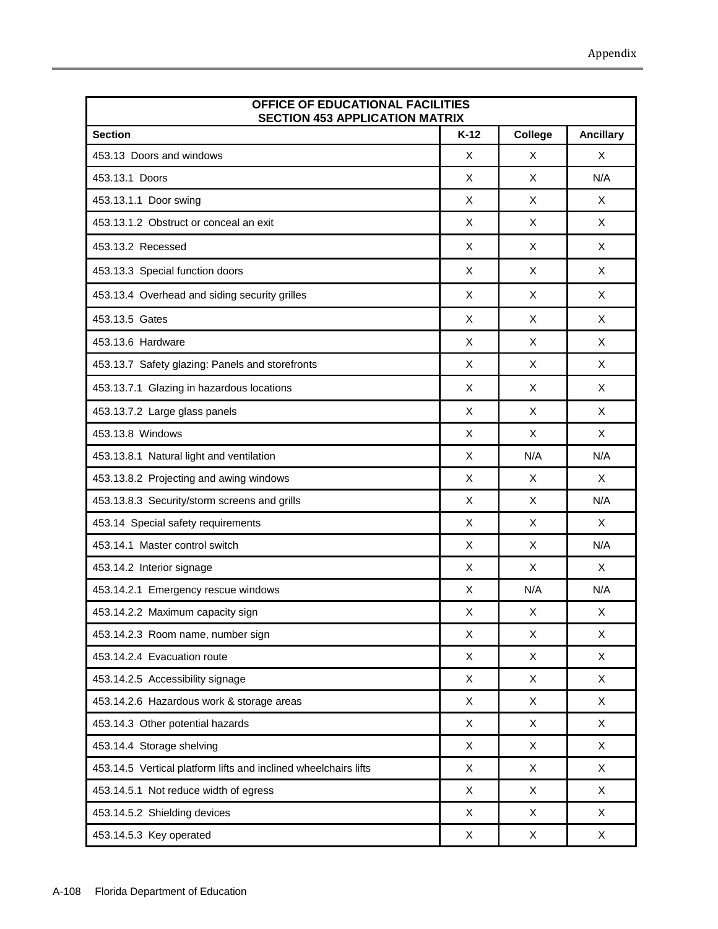| OFFICE OF EDUCATIONAL FACILITIES<br><b>SECTION 453 APPLICATION MATRIX</b> |        |                |                  |
|---------------------------------------------------------------------------|--------|----------------|------------------|
| <b>Section</b>                                                            | $K-12$ | College        | <b>Ancillary</b> |
| 453.13 Doors and windows                                                  | X      | X              | X                |
| 453.13.1 Doors                                                            | X      | X              | N/A              |
| 453.13.1.1 Door swing                                                     | X      | X              | X                |
| 453.13.1.2 Obstruct or conceal an exit                                    | X      | X              | X                |
| 453.13.2 Recessed                                                         | X      | X              | X                |
| 453.13.3 Special function doors                                           | X      | X              | X                |
| 453.13.4 Overhead and siding security grilles                             | X      | X              | X                |
| 453.13.5 Gates                                                            | X      | X              | X                |
| 453.13.6 Hardware                                                         | X      | X              | X                |
| 453.13.7 Safety glazing: Panels and storefronts                           | X      | X              | X                |
| 453.13.7.1 Glazing in hazardous locations                                 | X      | X              | X                |
| 453.13.7.2 Large glass panels                                             | X      | X              | X                |
| 453.13.8 Windows                                                          | X      | X              | X                |
| 453.13.8.1 Natural light and ventilation                                  | X      | N/A            | N/A              |
| 453.13.8.2 Projecting and awing windows                                   | X      | X              | X                |
| 453.13.8.3 Security/storm screens and grills                              | X      | X              | N/A              |
| 453.14 Special safety requirements                                        | X      | X              | X                |
| 453.14.1 Master control switch                                            | X      | X              | N/A              |
| 453.14.2 Interior signage                                                 | X      | X              | X                |
| 453.14.2.1 Emergency rescue windows                                       | X      | N/A            | N/A              |
| 453.14.2.2 Maximum capacity sign                                          | X      | X              | X                |
| 453.14.2.3 Room name, number sign                                         | X      | X              | X                |
| 453.14.2.4 Evacuation route                                               | X      | $\pmb{\times}$ | X                |
| 453.14.2.5 Accessibility signage                                          | X      | X              | X                |
| 453.14.2.6 Hazardous work & storage areas                                 | X      | X              | X                |
| 453.14.3 Other potential hazards                                          | X      | X              | X                |
| 453.14.4 Storage shelving                                                 | X      | X              | X                |
| 453.14.5 Vertical platform lifts and inclined wheelchairs lifts           | X      | X              | X                |
| 453.14.5.1 Not reduce width of egress                                     | X      | X              | X                |
| 453.14.5.2 Shielding devices                                              | X      | X              | X                |
| 453.14.5.3 Key operated                                                   | X      | X              | X                |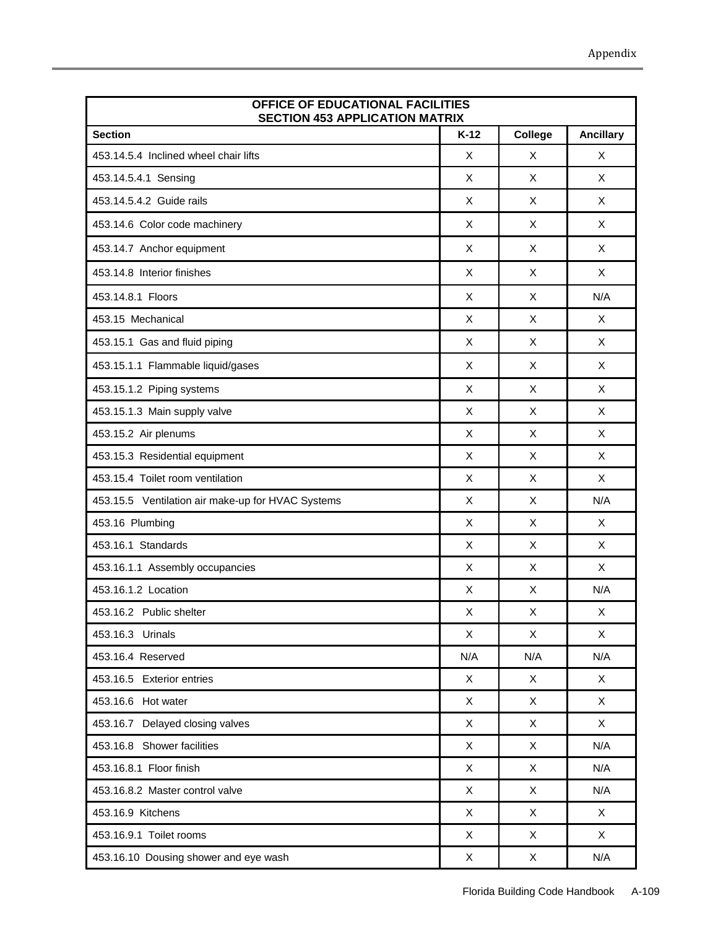| OFFICE OF EDUCATIONAL FACILITIES<br><b>SECTION 453 APPLICATION MATRIX</b> |             |                |                  |
|---------------------------------------------------------------------------|-------------|----------------|------------------|
| <b>Section</b>                                                            | $K-12$      | College        | <b>Ancillary</b> |
| 453.14.5.4 Inclined wheel chair lifts                                     | X           | X              | X                |
| 453.14.5.4.1 Sensing                                                      | X           | X              | X                |
| 453.14.5.4.2 Guide rails                                                  | X           | X              | X                |
| 453.14.6 Color code machinery                                             | X           | X              | X                |
| 453.14.7 Anchor equipment                                                 | X           | X              | X                |
| 453.14.8 Interior finishes                                                | X           | X              | X                |
| 453.14.8.1 Floors                                                         | X           | X              | N/A              |
| 453.15 Mechanical                                                         | X           | X              | X                |
| 453.15.1 Gas and fluid piping                                             | X           | X              | X                |
| 453.15.1.1 Flammable liquid/gases                                         | X           | X              | X                |
| 453.15.1.2 Piping systems                                                 | X           | X              | X                |
| 453.15.1.3 Main supply valve                                              | X           | X              | X                |
| 453.15.2 Air plenums                                                      | X           | X              | X                |
| 453.15.3 Residential equipment                                            | X           | X              | X                |
| 453.15.4 Toilet room ventilation                                          | X           | $\pmb{\times}$ | X                |
| 453.15.5 Ventilation air make-up for HVAC Systems                         | X           | X              | N/A              |
| 453.16 Plumbing                                                           | X           | X              | X                |
| 453.16.1 Standards                                                        | X           | X              | X                |
| 453.16.1.1 Assembly occupancies                                           | X           | X              | X                |
| 453.16.1.2 Location                                                       | X           | X              | N/A              |
| 453.16.2 Public shelter                                                   | X           | X              | X                |
| 453.16.3 Urinals                                                          | X           | X              | X                |
| 453.16.4 Reserved                                                         | N/A         | N/A            | N/A              |
| 453.16.5 Exterior entries                                                 | X           | X              | $\mathsf{X}$     |
| 453.16.6 Hot water                                                        | X           | X              | X                |
| 453.16.7 Delayed closing valves                                           | X           | X              | X                |
| 453.16.8 Shower facilities                                                | $\mathsf X$ | $\pmb{\times}$ | N/A              |
| 453.16.8.1 Floor finish                                                   | X           | X              | N/A              |
| 453.16.8.2 Master control valve                                           | X           | X              | N/A              |
| 453.16.9 Kitchens                                                         | X           | $\pmb{\times}$ | $\mathsf{X}$     |
| 453.16.9.1 Toilet rooms                                                   | X           | X              | X                |
| 453.16.10 Dousing shower and eye wash                                     | X           | X              | N/A              |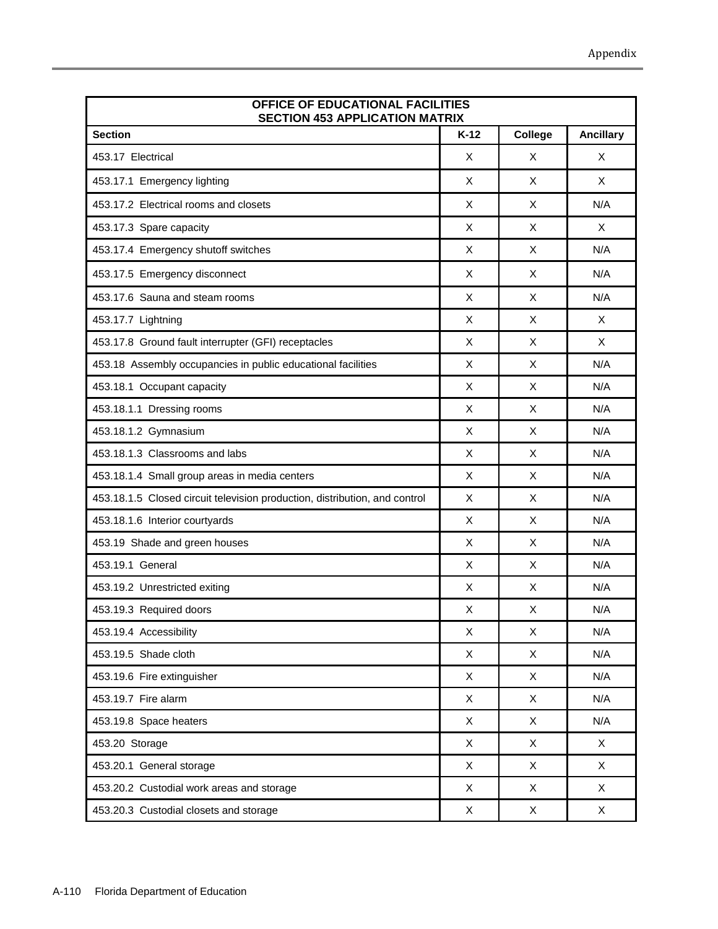| OFFICE OF EDUCATIONAL FACILITIES<br><b>SECTION 453 APPLICATION MATRIX</b>  |        |              |                  |
|----------------------------------------------------------------------------|--------|--------------|------------------|
| <b>Section</b>                                                             | $K-12$ | College      | <b>Ancillary</b> |
| 453.17 Electrical                                                          | X      | X            | X                |
| 453.17.1 Emergency lighting                                                | X      | X            | X                |
| 453.17.2 Electrical rooms and closets                                      | X      | X            | N/A              |
| 453.17.3 Spare capacity                                                    | X      | X            | X                |
| 453.17.4 Emergency shutoff switches                                        | X      | X            | N/A              |
| 453.17.5 Emergency disconnect                                              | X      | X            | N/A              |
| 453.17.6 Sauna and steam rooms                                             | X      | X            | N/A              |
| 453.17.7 Lightning                                                         | X      | X            | X                |
| 453.17.8 Ground fault interrupter (GFI) receptacles                        | X      | X            | X                |
| 453.18 Assembly occupancies in public educational facilities               | X      | X            | N/A              |
| 453.18.1 Occupant capacity                                                 | X      | X            | N/A              |
| 453.18.1.1 Dressing rooms                                                  | X      | X            | N/A              |
| 453.18.1.2 Gymnasium                                                       | X      | X            | N/A              |
| 453.18.1.3 Classrooms and labs                                             | X      | X            | N/A              |
| 453.18.1.4 Small group areas in media centers                              | X.     | X            | N/A              |
| 453.18.1.5 Closed circuit television production, distribution, and control | X      | X            | N/A              |
| 453.18.1.6 Interior courtyards                                             | X      | X            | N/A              |
| 453.19 Shade and green houses                                              | X      | X            | N/A              |
| 453.19.1 General                                                           | X      | X            | N/A              |
| 453.19.2 Unrestricted exiting                                              | X      | X            | N/A              |
| 453.19.3 Required doors                                                    | X      | X            | N/A              |
| 453.19.4 Accessibility                                                     | X      | X            | N/A              |
| 453.19.5 Shade cloth                                                       | X      | $\mathsf{X}$ | N/A              |
| 453.19.6 Fire extinguisher                                                 | X      | X            | N/A              |
| 453.19.7 Fire alarm                                                        | X      | X            | N/A              |
| 453.19.8 Space heaters                                                     | X      | X            | N/A              |
| 453.20 Storage                                                             | X      | X            | X                |
| 453.20.1 General storage                                                   | X      | X            | X                |
| 453.20.2 Custodial work areas and storage                                  | X      | X            | X                |
| 453.20.3 Custodial closets and storage                                     | X      | X            | X                |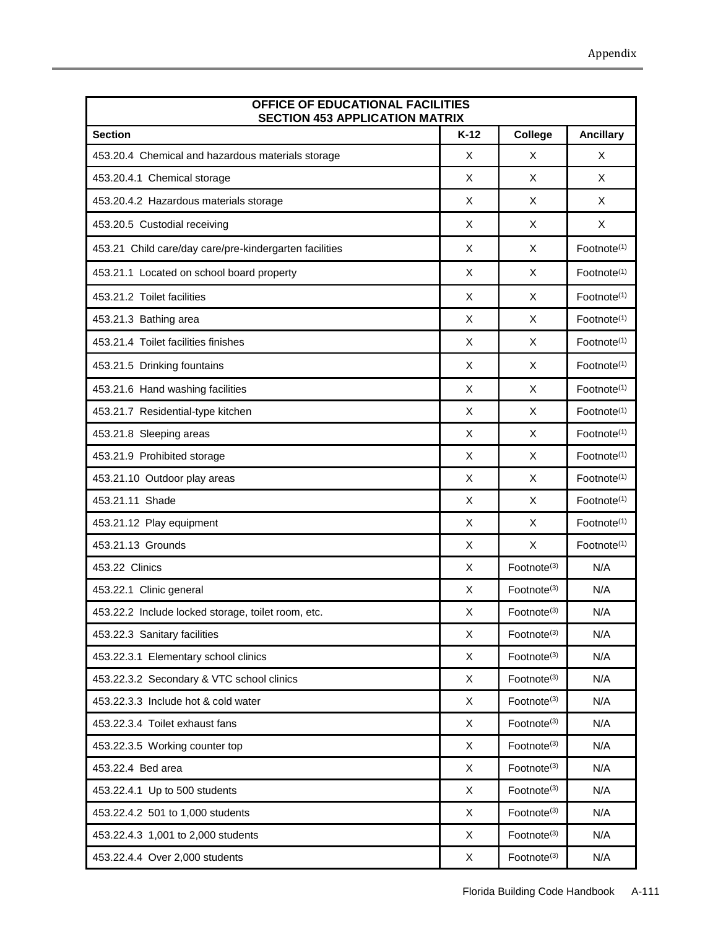| OFFICE OF EDUCATIONAL FACILITIES<br><b>SECTION 453 APPLICATION MATRIX</b> |        |                         |                         |
|---------------------------------------------------------------------------|--------|-------------------------|-------------------------|
| <b>Section</b>                                                            | $K-12$ | College                 | <b>Ancillary</b>        |
| 453.20.4 Chemical and hazardous materials storage                         | X      | X                       | X                       |
| 453.20.4.1 Chemical storage                                               | X      | X                       | X                       |
| 453.20.4.2 Hazardous materials storage                                    | X      | X                       | X                       |
| 453.20.5 Custodial receiving                                              | X      | X                       | X                       |
| 453.21 Child care/day care/pre-kindergarten facilities                    | X      | X                       | Footnote <sup>(1)</sup> |
| 453.21.1 Located on school board property                                 | X      | X                       | Footnote <sup>(1)</sup> |
| 453.21.2 Toilet facilities                                                | X      | X                       | Footnote <sup>(1)</sup> |
| 453.21.3 Bathing area                                                     | X      | X                       | Footnote <sup>(1)</sup> |
| 453.21.4 Toilet facilities finishes                                       | X      | X                       | Footnote <sup>(1)</sup> |
| 453.21.5 Drinking fountains                                               | Χ      | X                       | Footnote <sup>(1)</sup> |
| 453.21.6 Hand washing facilities                                          | X      | X                       | Footnote <sup>(1)</sup> |
| 453.21.7 Residential-type kitchen                                         | X      | X                       | Footnote <sup>(1)</sup> |
| 453.21.8 Sleeping areas                                                   | X      | X                       | Footnote <sup>(1)</sup> |
| 453.21.9 Prohibited storage                                               | X      | X                       | Footnote <sup>(1)</sup> |
| 453.21.10 Outdoor play areas                                              | X      | X                       | Footnote <sup>(1)</sup> |
| 453.21.11 Shade                                                           | X      | X                       | Footnote <sup>(1)</sup> |
| 453.21.12 Play equipment                                                  | X      | X                       | Footnote <sup>(1)</sup> |
| 453.21.13 Grounds                                                         | X      | X                       | Footnote <sup>(1)</sup> |
| 453.22 Clinics                                                            | X      | Footnote <sup>(3)</sup> | N/A                     |
| 453.22.1 Clinic general                                                   | X      | Footnote <sup>(3)</sup> | N/A                     |
| 453.22.2 Include locked storage, toilet room, etc.                        | X      | Footnote <sup>(3)</sup> | N/A                     |
| 453.22.3 Sanitary facilities                                              | X      | Footnote <sup>(3)</sup> | N/A                     |
| 453.22.3.1 Elementary school clinics                                      | X      | Footnote <sup>(3)</sup> | N/A                     |
| 453.22.3.2 Secondary & VTC school clinics                                 | X      | Footnote <sup>(3)</sup> | N/A                     |
| 453.22.3.3 Include hot & cold water                                       | X      | Footnote <sup>(3)</sup> | N/A                     |
| 453.22.3.4 Toilet exhaust fans                                            | X      | Footnote <sup>(3)</sup> | N/A                     |
| 453.22.3.5 Working counter top                                            | X      | Footnote <sup>(3)</sup> | N/A                     |
| 453.22.4 Bed area                                                         | X      | Footnote <sup>(3)</sup> | N/A                     |
| 453.22.4.1 Up to 500 students                                             | X      | Footnote <sup>(3)</sup> | N/A                     |
| 453.22.4.2 501 to 1,000 students                                          | X      | Footnote <sup>(3)</sup> | N/A                     |
| 453.22.4.3 1,001 to 2,000 students                                        | X      | Footnote <sup>(3)</sup> | N/A                     |
| 453.22.4.4 Over 2,000 students                                            | X      | Footnote <sup>(3)</sup> | N/A                     |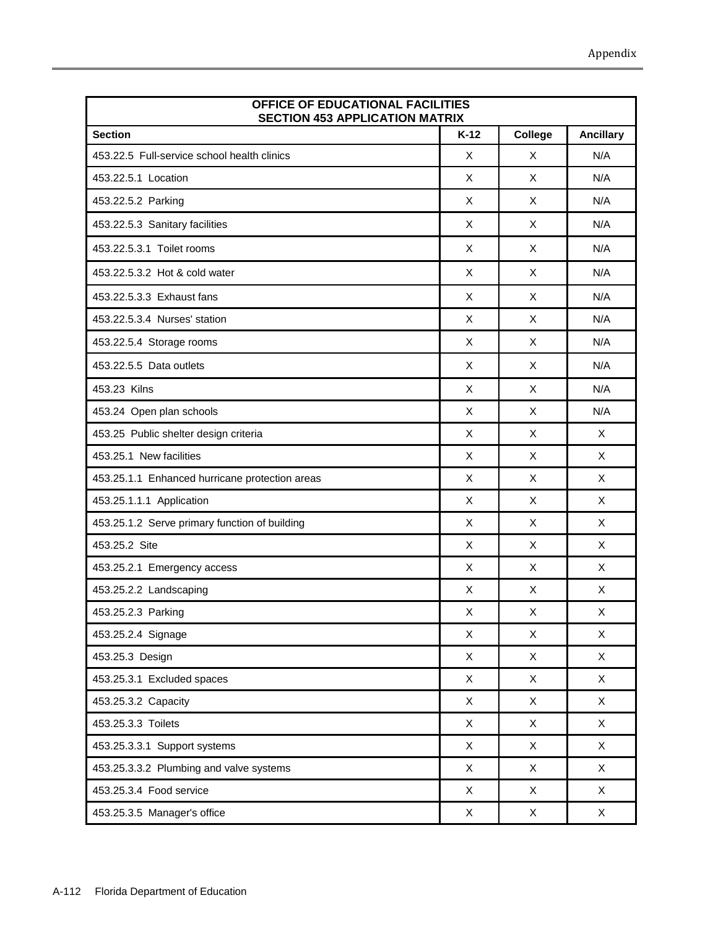| OFFICE OF EDUCATIONAL FACILITIES<br><b>SECTION 453 APPLICATION MATRIX</b> |                           |                           |                  |
|---------------------------------------------------------------------------|---------------------------|---------------------------|------------------|
| <b>Section</b>                                                            | $K-12$                    | College                   | <b>Ancillary</b> |
| 453.22.5 Full-service school health clinics                               | X                         | X                         | N/A              |
| 453.22.5.1 Location                                                       | X                         | X                         | N/A              |
| 453.22.5.2 Parking                                                        | X                         | X                         | N/A              |
| 453.22.5.3 Sanitary facilities                                            | X                         | X                         | N/A              |
| 453.22.5.3.1 Toilet rooms                                                 | X                         | X                         | N/A              |
| 453.22.5.3.2 Hot & cold water                                             | X                         | X                         | N/A              |
| 453.22.5.3.3 Exhaust fans                                                 | X                         | X                         | N/A              |
| 453.22.5.3.4 Nurses' station                                              | X                         | X                         | N/A              |
| 453.22.5.4 Storage rooms                                                  | X                         | X                         | N/A              |
| 453.22.5.5 Data outlets                                                   | X                         | X                         | N/A              |
| 453.23 Kilns                                                              | X                         | X                         | N/A              |
| 453.24 Open plan schools                                                  | X                         | X                         | N/A              |
| 453.25 Public shelter design criteria                                     | X                         | X                         | X                |
| 453.25.1 New facilities                                                   | X                         | X                         | X                |
| 453.25.1.1 Enhanced hurricane protection areas                            | X                         | X                         | X                |
| 453.25.1.1.1 Application                                                  | X                         | X                         | X                |
| 453.25.1.2 Serve primary function of building                             | X                         | X                         | X                |
| 453.25.2 Site                                                             | X                         | X                         | X                |
| 453.25.2.1 Emergency access                                               | X                         | X                         | X                |
| 453.25.2.2 Landscaping                                                    | X                         | X                         | X                |
| 453.25.2.3 Parking                                                        | X                         | $\mathsf X$               | X                |
| 453.25.2.4 Signage                                                        | X                         | X                         | X                |
| 453.25.3 Design                                                           | X                         | X                         | X                |
| 453.25.3.1 Excluded spaces                                                | X                         | X                         | $\mathsf{X}$     |
| 453.25.3.2 Capacity                                                       | X                         | X                         | X                |
| 453.25.3.3 Toilets                                                        | X                         | X                         | X                |
| 453.25.3.3.1 Support systems                                              | $\boldsymbol{\mathsf{X}}$ | $\boldsymbol{\mathsf{X}}$ | $\mathsf{X}$     |
| 453.25.3.3.2 Plumbing and valve systems                                   | X                         | X                         | X                |
| 453.25.3.4 Food service                                                   | X                         | X                         | $\mathsf{X}$     |
| 453.25.3.5 Manager's office                                               | X                         | $\mathsf X$               | $\mathsf{X}$     |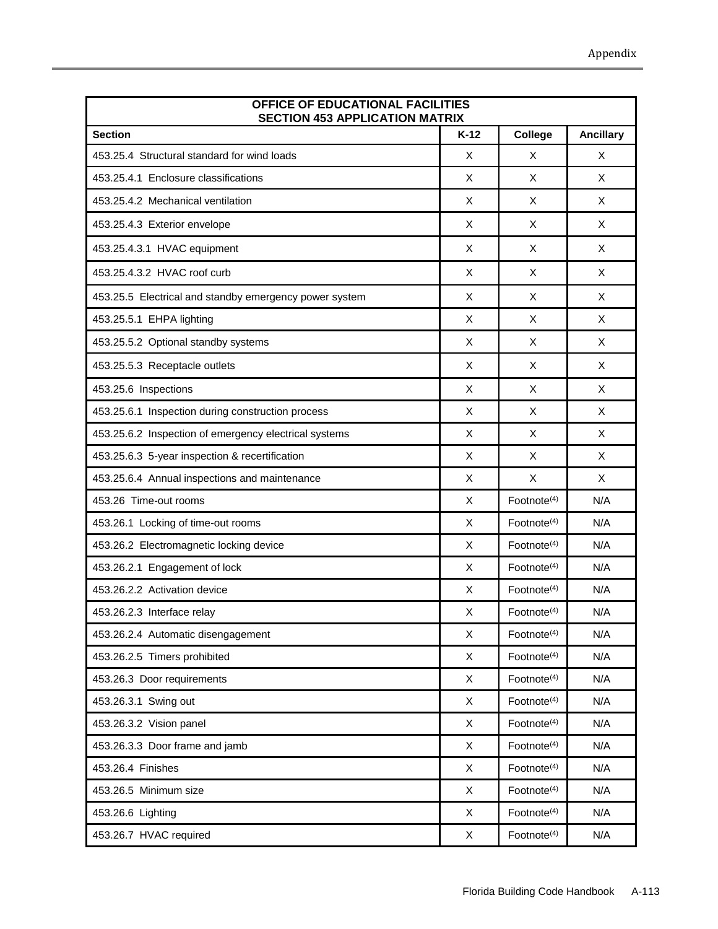| OFFICE OF EDUCATIONAL FACILITIES<br><b>SECTION 453 APPLICATION MATRIX</b> |        |                         |                  |
|---------------------------------------------------------------------------|--------|-------------------------|------------------|
| <b>Section</b>                                                            | $K-12$ | College                 | <b>Ancillary</b> |
| 453.25.4 Structural standard for wind loads                               | X      | X                       | X                |
| 453.25.4.1 Enclosure classifications                                      | X      | X                       | X                |
| 453.25.4.2 Mechanical ventilation                                         | Χ      | X                       | X                |
| 453.25.4.3 Exterior envelope                                              | X      | X                       | X                |
| 453.25.4.3.1 HVAC equipment                                               | X      | X                       | X                |
| 453.25.4.3.2 HVAC roof curb                                               | X      | X                       | X                |
| 453.25.5 Electrical and standby emergency power system                    | X      | X                       | X                |
| 453.25.5.1 EHPA lighting                                                  | X      | X                       | X                |
| 453.25.5.2 Optional standby systems                                       | X      | X                       | X                |
| 453.25.5.3 Receptacle outlets                                             | X      | X                       | X                |
| 453.25.6 Inspections                                                      | X      | X                       | X                |
| 453.25.6.1 Inspection during construction process                         | X      | X                       | X                |
| 453.25.6.2 Inspection of emergency electrical systems                     | X      | X                       | X                |
| 453.25.6.3 5-year inspection & recertification                            | X      | X                       | X                |
| 453.25.6.4 Annual inspections and maintenance                             | X      | X                       | X                |
| 453.26 Time-out rooms                                                     | X      | Footnote <sup>(4)</sup> | N/A              |
| 453.26.1 Locking of time-out rooms                                        | X      | Footnote <sup>(4)</sup> | N/A              |
| 453.26.2 Electromagnetic locking device                                   | X      | Footnote <sup>(4)</sup> | N/A              |
| 453.26.2.1 Engagement of lock                                             | X      | Footnote $(4)$          | N/A              |
| 453.26.2.2 Activation device                                              | X      | Footnote $(4)$          | N/A              |
| 453.26.2.3 Interface relay                                                | X      | Footnote <sup>(4)</sup> | N/A              |
| 453.26.2.4 Automatic disengagement                                        | X      | Footnote <sup>(4)</sup> | N/A              |
| 453.26.2.5 Timers prohibited                                              | X      | Footnote <sup>(4)</sup> | N/A              |
| 453.26.3 Door requirements                                                | X      | Footnote <sup>(4)</sup> | N/A              |
| 453.26.3.1 Swing out                                                      | X      | Footnote <sup>(4)</sup> | N/A              |
| 453.26.3.2 Vision panel                                                   | X      | Footnote <sup>(4)</sup> | N/A              |
| 453.26.3.3 Door frame and jamb                                            | X      | Footnote <sup>(4)</sup> | N/A              |
| 453.26.4 Finishes                                                         | X      | Footnote <sup>(4)</sup> | N/A              |
| 453.26.5 Minimum size                                                     | X      | Footnote <sup>(4)</sup> | N/A              |
| 453.26.6 Lighting                                                         | X      | Footnote <sup>(4)</sup> | N/A              |
| 453.26.7 HVAC required                                                    | X      | Footnote <sup>(4)</sup> | N/A              |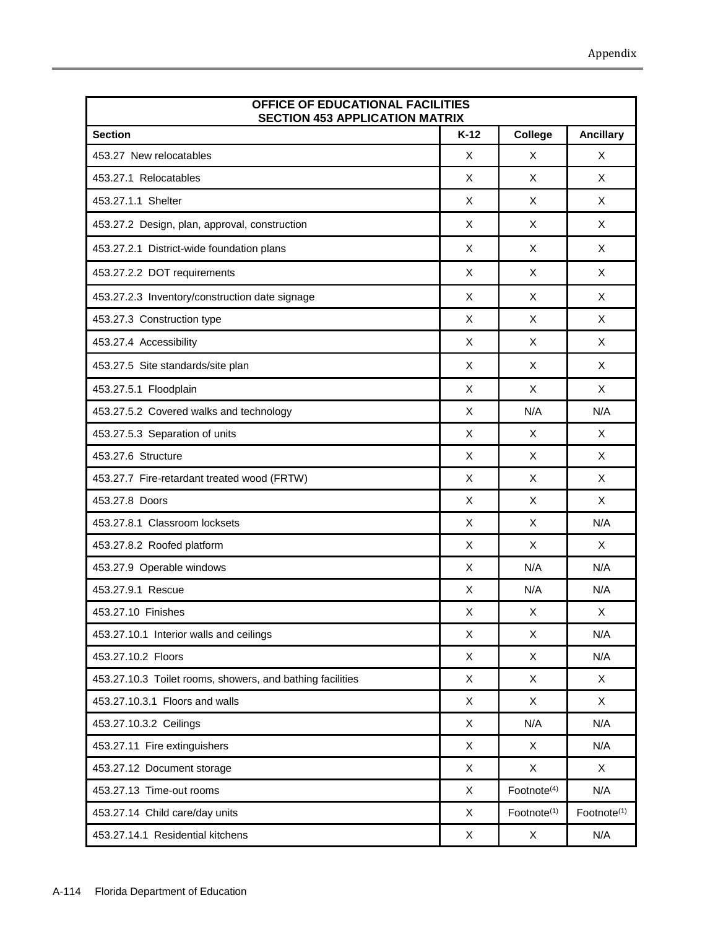| OFFICE OF EDUCATIONAL FACILITIES<br><b>SECTION 453 APPLICATION MATRIX</b> |        |                         |                         |
|---------------------------------------------------------------------------|--------|-------------------------|-------------------------|
| <b>Section</b>                                                            | $K-12$ | College                 | <b>Ancillary</b>        |
| 453.27 New relocatables                                                   | X      | X                       | X                       |
| 453.27.1 Relocatables                                                     | X      | X                       | X                       |
| 453.27.1.1 Shelter                                                        | X      | X                       | X                       |
| 453.27.2 Design, plan, approval, construction                             | X      | X                       | X                       |
| 453.27.2.1 District-wide foundation plans                                 | X      | X                       | X                       |
| 453.27.2.2 DOT requirements                                               | X      | X                       | X                       |
| 453.27.2.3 Inventory/construction date signage                            | X      | X                       | X                       |
| 453.27.3 Construction type                                                | X      | X                       | X                       |
| 453.27.4 Accessibility                                                    | X      | X                       | X                       |
| 453.27.5 Site standards/site plan                                         | X      | X                       | X                       |
| 453.27.5.1 Floodplain                                                     | X      | X                       | X                       |
| 453.27.5.2 Covered walks and technology                                   | X      | N/A                     | N/A                     |
| 453.27.5.3 Separation of units                                            | X      | X                       | X                       |
| 453.27.6 Structure                                                        | X      | X                       | X                       |
| 453.27.7 Fire-retardant treated wood (FRTW)                               | X      | X                       | X                       |
| 453.27.8 Doors                                                            | X      | X                       | X                       |
| 453.27.8.1 Classroom locksets                                             | X      | X                       | N/A                     |
| 453.27.8.2 Roofed platform                                                | X      | X                       | X                       |
| 453.27.9 Operable windows                                                 | X      | N/A                     | N/A                     |
| 453.27.9.1 Rescue                                                         | X      | N/A                     | N/A                     |
| 453.27.10 Finishes                                                        | Χ      | X                       | X                       |
| 453.27.10.1 Interior walls and ceilings                                   | X      | X                       | N/A                     |
| 453.27.10.2 Floors                                                        | X      | X                       | N/A                     |
| 453.27.10.3 Toilet rooms, showers, and bathing facilities                 | X      | X                       | $\mathsf{X}$            |
| 453.27.10.3.1 Floors and walls                                            | X      | X                       | X                       |
| 453.27.10.3.2 Ceilings                                                    | X      | N/A                     | N/A                     |
| 453.27.11 Fire extinguishers                                              | X      | X                       | N/A                     |
| 453.27.12 Document storage                                                | X      | X                       | X                       |
| 453.27.13 Time-out rooms                                                  | X      | Footnote <sup>(4)</sup> | N/A                     |
| 453.27.14 Child care/day units                                            | X      | Footnote <sup>(1)</sup> | Footnote <sup>(1)</sup> |
| 453.27.14.1 Residential kitchens                                          | X      | X                       | N/A                     |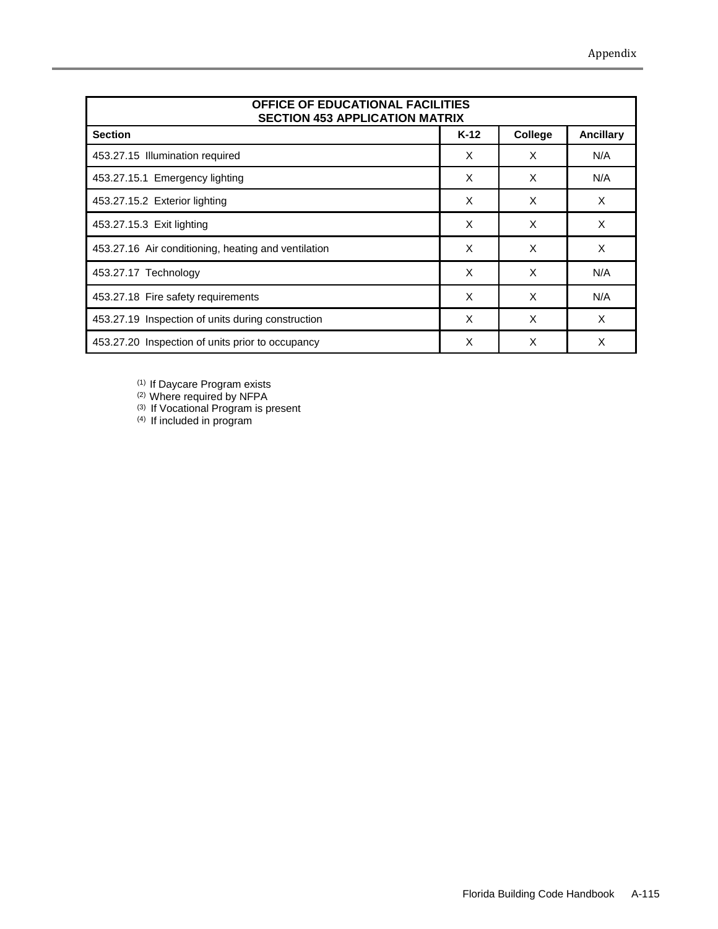| OFFICE OF EDUCATIONAL FACILITIES<br><b>SECTION 453 APPLICATION MATRIX</b> |        |         |                  |  |  |
|---------------------------------------------------------------------------|--------|---------|------------------|--|--|
| <b>Section</b>                                                            | $K-12$ | College | <b>Ancillary</b> |  |  |
| 453.27.15 Illumination required                                           | X      | X       | N/A              |  |  |
| 453.27.15.1 Emergency lighting                                            | X      | X       | N/A              |  |  |
| 453.27.15.2 Exterior lighting                                             | X      | X       | X                |  |  |
| 453.27.15.3 Exit lighting                                                 | X      | X       | X                |  |  |
| 453.27.16 Air conditioning, heating and ventilation                       | X      | X       | X                |  |  |
| 453.27.17 Technology                                                      | X      | X       | N/A              |  |  |
| 453.27.18 Fire safety requirements                                        | X      | X       | N/A              |  |  |
| 453.27.19 Inspection of units during construction                         | X      | X       | X                |  |  |
| 453.27.20 Inspection of units prior to occupancy                          | X      | X       | X                |  |  |

(1) If Daycare Program exists

(2) Where required by NFPA

(3) If Vocational Program is present

(4) If included in program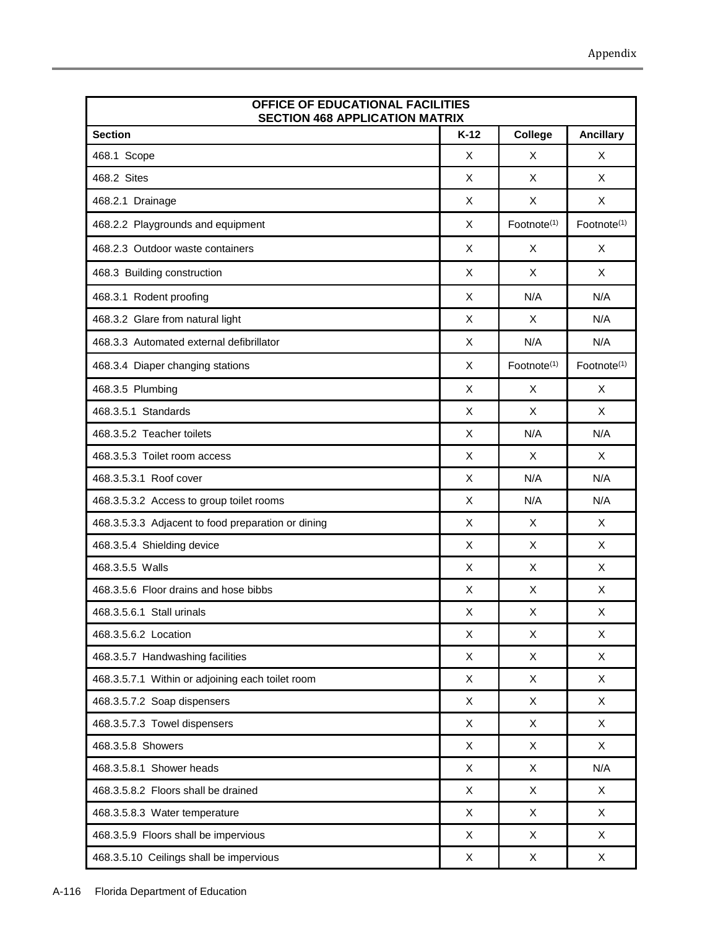| OFFICE OF EDUCATIONAL FACILITIES<br><b>SECTION 468 APPLICATION MATRIX</b> |        |                           |                         |  |  |
|---------------------------------------------------------------------------|--------|---------------------------|-------------------------|--|--|
| <b>Section</b>                                                            | $K-12$ | College                   | <b>Ancillary</b>        |  |  |
| 468.1 Scope                                                               | X      | X                         | X                       |  |  |
| 468.2 Sites                                                               | X      | X                         | X                       |  |  |
| 468.2.1 Drainage                                                          | X      | X                         | X                       |  |  |
| 468.2.2 Playgrounds and equipment                                         | X      | Footnote <sup>(1)</sup>   | Footnote <sup>(1)</sup> |  |  |
| 468.2.3 Outdoor waste containers                                          | X      | Χ                         | X                       |  |  |
| 468.3 Building construction                                               | X      | X                         | X                       |  |  |
| 468.3.1 Rodent proofing                                                   | X      | N/A                       | N/A                     |  |  |
| 468.3.2 Glare from natural light                                          | X      | X                         | N/A                     |  |  |
| 468.3.3 Automated external defibrillator                                  | X      | N/A                       | N/A                     |  |  |
| 468.3.4 Diaper changing stations                                          | X      | Footnote <sup>(1)</sup>   | Footnote <sup>(1)</sup> |  |  |
| 468.3.5 Plumbing                                                          | X      | X                         | X                       |  |  |
| 468.3.5.1 Standards                                                       | X      | $\pmb{\times}$            | X                       |  |  |
| 468.3.5.2 Teacher toilets                                                 | X      | N/A                       | N/A                     |  |  |
| 468.3.5.3 Toilet room access                                              | X      | X                         | X                       |  |  |
| 468.3.5.3.1 Roof cover                                                    | X      | N/A                       | N/A                     |  |  |
| 468.3.5.3.2 Access to group toilet rooms                                  | X      | N/A                       | N/A                     |  |  |
| 468.3.5.3.3 Adjacent to food preparation or dining                        | X      | X                         | X                       |  |  |
| 468.3.5.4 Shielding device                                                | X      | X                         | X                       |  |  |
| 468.3.5.5 Walls                                                           | X      | X                         | X                       |  |  |
| 468.3.5.6 Floor drains and hose bibbs                                     | X      | X                         | X                       |  |  |
| 468.3.5.6.1 Stall urinals                                                 | Χ      | X                         | X                       |  |  |
| 468.3.5.6.2 Location                                                      | X      | X                         | X                       |  |  |
| 468.3.5.7 Handwashing facilities                                          | X      | X                         | X                       |  |  |
| 468.3.5.7.1 Within or adjoining each toilet room                          | X      | X                         | $\mathsf{X}$            |  |  |
| 468.3.5.7.2 Soap dispensers                                               | X      | X                         | X                       |  |  |
| 468.3.5.7.3 Towel dispensers                                              | X      | X                         | X                       |  |  |
| 468.3.5.8 Showers                                                         | X      | $\mathsf X$               | $\mathsf{X}$            |  |  |
| 468.3.5.8.1 Shower heads                                                  | X      | $\mathsf X$               | N/A                     |  |  |
| 468.3.5.8.2 Floors shall be drained                                       | X      | X                         | X                       |  |  |
| 468.3.5.8.3 Water temperature                                             | X      | $\boldsymbol{\mathsf{X}}$ | $\mathsf{X}$            |  |  |
| 468.3.5.9 Floors shall be impervious                                      | X      | X                         | X                       |  |  |
| 468.3.5.10 Ceilings shall be impervious                                   | X      | X                         | X                       |  |  |